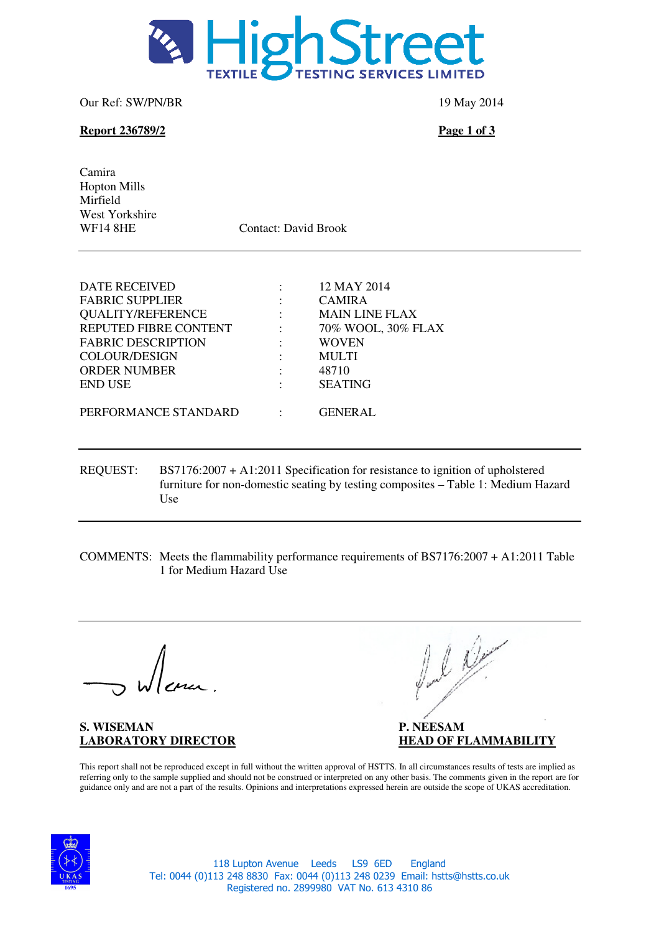

Our Ref: SW/PN/BR 19 May 2014

## **Report 236789/2** Page 1 of 3

Camira Hopton Mills Mirfield West Yorkshire<br>WF14 8HE

Contact: David Brook

| <b>DATE RECEIVED</b>      |                      | 12 MAY 2014           |
|---------------------------|----------------------|-----------------------|
| <b>FABRIC SUPPLIER</b>    |                      | <b>CAMIRA</b>         |
| <b>QUALITY/REFERENCE</b>  | $\ddot{\phantom{a}}$ | <b>MAIN LINE FLAX</b> |
| REPUTED FIBRE CONTENT     |                      | 70% WOOL, 30% FLAX    |
| <b>FABRIC DESCRIPTION</b> |                      | <b>WOVEN</b>          |
| <b>COLOUR/DESIGN</b>      |                      | <b>MULTI</b>          |
| <b>ORDER NUMBER</b>       |                      | 48710                 |
| <b>END USE</b>            |                      | <b>SEATING</b>        |
|                           |                      |                       |
| PERFORMANCE STANDARD      |                      | <b>GENERAL</b>        |
|                           |                      |                       |

- REQUEST: BS7176:2007 + A1:2011 Specification for resistance to ignition of upholstered furniture for non-domestic seating by testing composites – Table 1: Medium Hazard Use
- COMMENTS: Meets the flammability performance requirements of BS7176:2007 + A1:2011 Table 1 for Medium Hazard Use

**S. WISEMAN P. NEESAM P.** 

funk

**LABORATORY DIRECTOR HEAD OF FLAMMABILITY**

This report shall not be reproduced except in full without the written approval of HSTTS. In all circumstances results of tests are implied as referring only to the sample supplied and should not be construed or interpreted on any other basis. The comments given in the report are for guidance only and are not a part of the results. Opinions and interpretations expressed herein are outside the scope of UKAS accreditation.



118 Lupton Avenue Leeds LS9 6ED England Tel: 0044 (0)113 248 8830 Fax: 0044 (0)113 248 0239 Email: hstts@hstts.co.uk Registered no. 2899980 VAT No. 613 4310 86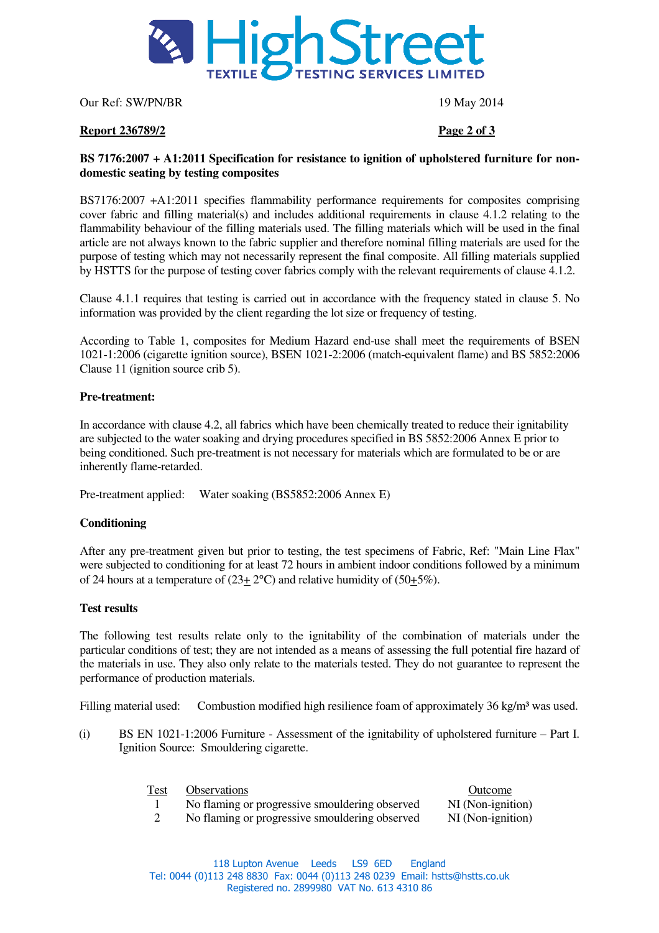

Our Ref: SW/PN/BR 19 May 2014

### **Report 236789/2 Page 2 of 3**

### **BS 7176:2007 + A1:2011 Specification for resistance to ignition of upholstered furniture for nondomestic seating by testing composites**

BS7176:2007 +A1:2011 specifies flammability performance requirements for composites comprising cover fabric and filling material(s) and includes additional requirements in clause 4.1.2 relating to the flammability behaviour of the filling materials used. The filling materials which will be used in the final article are not always known to the fabric supplier and therefore nominal filling materials are used for the purpose of testing which may not necessarily represent the final composite. All filling materials supplied by HSTTS for the purpose of testing cover fabrics comply with the relevant requirements of clause 4.1.2.

Clause 4.1.1 requires that testing is carried out in accordance with the frequency stated in clause 5. No information was provided by the client regarding the lot size or frequency of testing.

According to Table 1, composites for Medium Hazard end-use shall meet the requirements of BSEN 1021-1:2006 (cigarette ignition source), BSEN 1021-2:2006 (match-equivalent flame) and BS 5852:2006 Clause 11 (ignition source crib 5).

#### **Pre-treatment:**

In accordance with clause 4.2, all fabrics which have been chemically treated to reduce their ignitability are subjected to the water soaking and drying procedures specified in BS 5852:2006 Annex E prior to being conditioned. Such pre-treatment is not necessary for materials which are formulated to be or are inherently flame-retarded.

Pre-treatment applied: Water soaking (BS5852:2006 Annex E)

#### **Conditioning**

After any pre-treatment given but prior to testing, the test specimens of Fabric, Ref: "Main Line Flax" were subjected to conditioning for at least 72 hours in ambient indoor conditions followed by a minimum of 24 hours at a temperature of  $(23 \pm 2^{\circ}C)$  and relative humidity of  $(50 \pm 5\%)$ .

#### **Test results**

The following test results relate only to the ignitability of the combination of materials under the particular conditions of test; they are not intended as a means of assessing the full potential fire hazard of the materials in use. They also only relate to the materials tested. They do not guarantee to represent the performance of production materials.

Filling material used: Combustion modified high resilience foam of approximately 36 kg/m<sup>3</sup> was used.

(i) BS EN 1021-1:2006 Furniture - Assessment of the ignitability of upholstered furniture – Part I. Ignition Source: Smouldering cigarette.

| Test | <b>Observations</b> |
|------|---------------------|
|------|---------------------|

- **Outcome**
- 1 No flaming or progressive smouldering observed NI (Non-ignition)<br>2 No flaming or progressive smouldering observed NI (Non-ignition)

No flaming or progressive smouldering observed NI (Non-ignition)